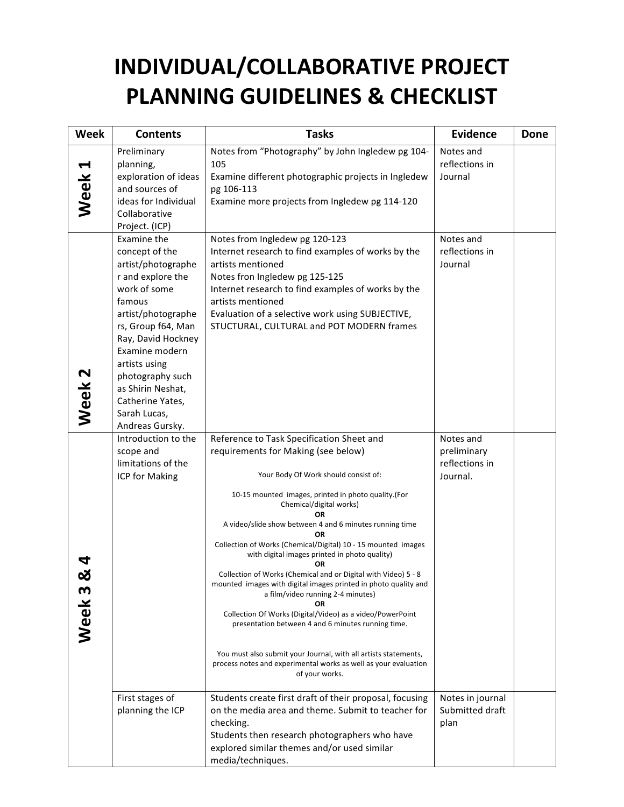## **INDIVIDUAL/COLLABORATIVE PROJECT PLANNING GUIDELINES & CHECKLIST**

| <b>Week</b>       | <b>Contents</b>                                                                                                                                                                                                                                                                                         | <b>Tasks</b>                                                                                                                                                                                                                                                                                                                                                                                                                                                                                                                                                                                                                                                                                                                                                                                                                                                                       | <b>Evidence</b>                                        | <b>Done</b> |
|-------------------|---------------------------------------------------------------------------------------------------------------------------------------------------------------------------------------------------------------------------------------------------------------------------------------------------------|------------------------------------------------------------------------------------------------------------------------------------------------------------------------------------------------------------------------------------------------------------------------------------------------------------------------------------------------------------------------------------------------------------------------------------------------------------------------------------------------------------------------------------------------------------------------------------------------------------------------------------------------------------------------------------------------------------------------------------------------------------------------------------------------------------------------------------------------------------------------------------|--------------------------------------------------------|-------------|
| <b>Week</b>       | Preliminary<br>planning,<br>exploration of ideas<br>and sources of<br>ideas for Individual<br>Collaborative<br>Project. (ICP)                                                                                                                                                                           | Notes from "Photography" by John Ingledew pg 104-<br>105<br>Examine different photographic projects in Ingledew<br>pg 106-113<br>Examine more projects from Ingledew pg 114-120                                                                                                                                                                                                                                                                                                                                                                                                                                                                                                                                                                                                                                                                                                    | Notes and<br>reflections in<br>Journal                 |             |
| Week <sub>2</sub> | Examine the<br>concept of the<br>artist/photographe<br>r and explore the<br>work of some<br>famous<br>artist/photographe<br>rs, Group f64, Man<br>Ray, David Hockney<br>Examine modern<br>artists using<br>photography such<br>as Shirin Neshat,<br>Catherine Yates,<br>Sarah Lucas,<br>Andreas Gursky. | Notes from Ingledew pg 120-123<br>Internet research to find examples of works by the<br>artists mentioned<br>Notes fron Ingledew pg 125-125<br>Internet research to find examples of works by the<br>artists mentioned<br>Evaluation of a selective work using SUBJECTIVE,<br>STUCTURAL, CULTURAL and POT MODERN frames                                                                                                                                                                                                                                                                                                                                                                                                                                                                                                                                                            | Notes and<br>reflections in<br>Journal                 |             |
| m<br>Week         | Introduction to the<br>scope and<br>limitations of the<br>ICP for Making                                                                                                                                                                                                                                | Reference to Task Specification Sheet and<br>requirements for Making (see below)<br>Your Body Of Work should consist of:<br>10-15 mounted images, printed in photo quality.(For<br>Chemical/digital works)<br><b>OR</b><br>A video/slide show between 4 and 6 minutes running time<br>ΟR<br>Collection of Works (Chemical/Digital) 10 - 15 mounted images<br>with digital images printed in photo quality)<br>ΟR<br>Collection of Works (Chemical and or Digital with Video) 5 - 8<br>mounted images with digital images printed in photo quality and<br>a film/video running 2-4 minutes)<br><b>OR</b><br>Collection Of Works (Digital/Video) as a video/PowerPoint<br>presentation between 4 and 6 minutes running time.<br>You must also submit your Journal, with all artists statements,<br>process notes and experimental works as well as your evaluation<br>of your works. | Notes and<br>preliminary<br>reflections in<br>Journal. |             |
|                   | First stages of<br>planning the ICP                                                                                                                                                                                                                                                                     | Students create first draft of their proposal, focusing<br>on the media area and theme. Submit to teacher for<br>checking.<br>Students then research photographers who have<br>explored similar themes and/or used similar<br>media/techniques.                                                                                                                                                                                                                                                                                                                                                                                                                                                                                                                                                                                                                                    | Notes in journal<br>Submitted draft<br>plan            |             |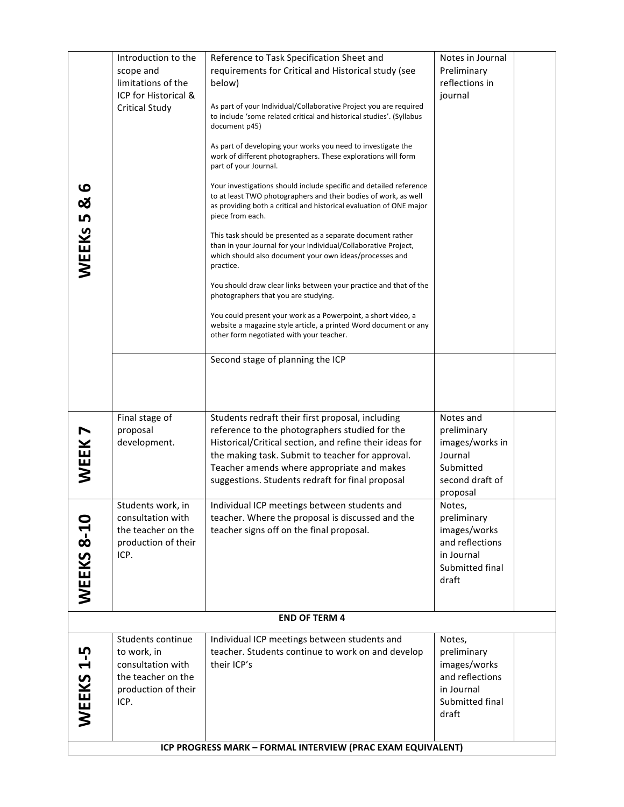| $\boldsymbol{\omega}$<br><u>ଧ</u>                           | Introduction to the<br>scope and<br>limitations of the                                                     | Reference to Task Specification Sheet and<br>requirements for Critical and Historical study (see<br>below)                                                                                                                       | Notes in Journal<br>Preliminary<br>reflections in                                                  |  |  |  |  |
|-------------------------------------------------------------|------------------------------------------------------------------------------------------------------------|----------------------------------------------------------------------------------------------------------------------------------------------------------------------------------------------------------------------------------|----------------------------------------------------------------------------------------------------|--|--|--|--|
|                                                             | ICP for Historical &<br><b>Critical Study</b>                                                              | As part of your Individual/Collaborative Project you are required<br>to include 'some related critical and historical studies'. (Syllabus<br>document p45)                                                                       | journal                                                                                            |  |  |  |  |
|                                                             |                                                                                                            | As part of developing your works you need to investigate the<br>work of different photographers. These explorations will form<br>part of your Journal.                                                                           |                                                                                                    |  |  |  |  |
|                                                             |                                                                                                            | Your investigations should include specific and detailed reference<br>to at least TWO photographers and their bodies of work, as well<br>as providing both a critical and historical evaluation of ONE major<br>piece from each. |                                                                                                    |  |  |  |  |
| WEEKS 5                                                     |                                                                                                            | This task should be presented as a separate document rather<br>than in your Journal for your Individual/Collaborative Project,<br>which should also document your own ideas/processes and<br>practice.                           |                                                                                                    |  |  |  |  |
|                                                             |                                                                                                            | You should draw clear links between your practice and that of the<br>photographers that you are studying.                                                                                                                        |                                                                                                    |  |  |  |  |
|                                                             |                                                                                                            | You could present your work as a Powerpoint, a short video, a<br>website a magazine style article, a printed Word document or any<br>other form negotiated with your teacher.                                                    |                                                                                                    |  |  |  |  |
|                                                             |                                                                                                            | Second stage of planning the ICP                                                                                                                                                                                                 |                                                                                                    |  |  |  |  |
|                                                             |                                                                                                            |                                                                                                                                                                                                                                  |                                                                                                    |  |  |  |  |
|                                                             | Final stage of<br>proposal<br>development.                                                                 | Students redraft their first proposal, including<br>reference to the photographers studied for the<br>Historical/Critical section, and refine their ideas for                                                                    | Notes and<br>preliminary<br>images/works in                                                        |  |  |  |  |
| WEEK                                                        |                                                                                                            | the making task. Submit to teacher for approval.<br>Teacher amends where appropriate and makes<br>suggestions. Students redraft for final proposal                                                                               | Journal<br>Submitted<br>second draft of<br>proposal                                                |  |  |  |  |
| 0                                                           | Students work, in<br>consultation with                                                                     | Individual ICP meetings between students and<br>teacher. Where the proposal is discussed and the                                                                                                                                 | Notes,<br>preliminary                                                                              |  |  |  |  |
| $8-1$                                                       | the teacher on the<br>production of their<br>ICP.                                                          | teacher signs off on the final proposal.                                                                                                                                                                                         | images/works<br>and reflections<br>in Journal                                                      |  |  |  |  |
| WEEKS                                                       |                                                                                                            |                                                                                                                                                                                                                                  | Submitted final<br>draft                                                                           |  |  |  |  |
| <b>END OF TERM 4</b>                                        |                                                                                                            |                                                                                                                                                                                                                                  |                                                                                                    |  |  |  |  |
| ம<br>$\mathbf{r}$<br>WEEKS                                  | Students continue<br>to work, in<br>consultation with<br>the teacher on the<br>production of their<br>ICP. | Individual ICP meetings between students and<br>teacher. Students continue to work on and develop<br>their ICP's                                                                                                                 | Notes,<br>preliminary<br>images/works<br>and reflections<br>in Journal<br>Submitted final<br>draft |  |  |  |  |
| ICP PROGRESS MARK - FORMAL INTERVIEW (PRAC EXAM EQUIVALENT) |                                                                                                            |                                                                                                                                                                                                                                  |                                                                                                    |  |  |  |  |